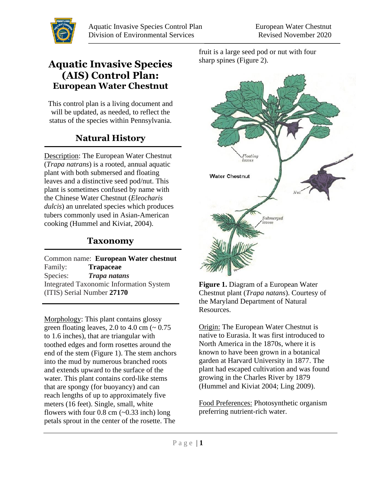

## **Aquatic Invasive Species (AIS) Control Plan: European Water Chestnut**

This control plan is a living document and will be updated, as needed, to reflect the status of the species within Pennsylvania.

# **Natural History**

Description: The European Water Chestnut (*Trapa natrans*) is a rooted, annual aquatic plant with both submersed and floating leaves and a distinctive seed pod/nut. This plant is sometimes confused by name with the Chinese Water Chestnut (*Eleocharis dulcis*) an unrelated species which produces tubers commonly used in Asian-American cooking (Hummel and Kiviat, 2004).

## **Taxonomy**

Common name: **European Water chestnut** Family: **[Trapaceae](http://www.itis.gov/servlet/SingleRpt/SingleRpt?search_topic=TSN&search_value=27168)** Species: *Trapa natans* Integrated Taxonomic Information System (ITIS) Serial Number **27170**  $\overline{a}$ 

Morphology: This plant contains glossy green floating leaves, 2.0 to 4.0 cm  $\left(\sim 0.75\right)$ to 1.6 inches), that are triangular with toothed edges and form rosettes around the end of the stem (Figure 1). The stem anchors into the mud by numerous branched roots and extends upward to the surface of the water. This plant contains cord-like stems that are spongy (for buoyancy) and can reach lengths of up to approximately five meters (16 feet). Single, small, white flowers with four  $0.8$  cm  $(-0.33$  inch) long petals sprout in the center of the rosette. The

fruit is a large seed pod or nut with four sharp spines (Figure 2).



**Figure 1.** Diagram of a European Water Chestnut plant (*Trapa natans*). Courtesy of the Maryland Department of Natural Resources.

Origin: The European Water Chestnut is native to Eurasia. It was first introduced to North America in the 1870s, where it is known to have been grown in a botanical garden at Harvard University in 1877. The plant had escaped cultivation and was found growing in the Charles River by 1879 (Hummel and Kiviat 2004; Ling 2009).

Food Preferences: Photosynthetic organism preferring nutrient-rich water.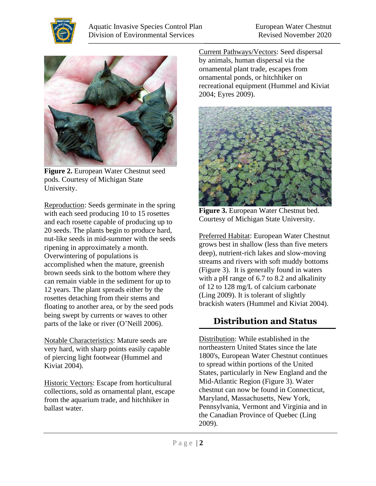



**Figure 2.** European Water Chestnut seed pods. Courtesy of Michigan State University.

Reproduction: Seeds germinate in the spring with each seed producing 10 to 15 rosettes and each rosette capable of producing up to 20 seeds. The plants begin to produce hard, nut-like seeds in mid-summer with the seeds ripening in approximately a month. Overwintering of populations is accomplished when the mature, greenish brown seeds sink to the bottom where they can remain viable in the sediment for up to 12 years. The plant spreads either by the rosettes detaching from their stems and floating to another area, or by the seed pods being swept by currents or waves to other parts of the lake or river (O'Neill 2006).

Notable Characteristics: Mature seeds are very hard, with sharp points easily capable of piercing light footwear (Hummel and Kiviat 2004).

Historic Vectors: Escape from horticultural collections, sold as ornamental plant, escape from the aquarium trade, and hitchhiker in ballast water.

Current Pathways/Vectors: Seed dispersal by animals, human dispersal via the ornamental plant trade, escapes from ornamental ponds, or hitchhiker on recreational equipment (Hummel and Kiviat 2004; Eyres 2009).



**Figure 3.** European Water Chestnut bed. Courtesy of Michigan State University.

Preferred Habitat: European Water Chestnut grows best in shallow (less than five meters deep), nutrient-rich lakes and slow-moving streams and rivers with soft muddy bottoms (Figure 3). It is generally found in waters with a pH range of 6.7 to 8.2 and alkalinity of 12 to 128 mg/L of calcium carbonate (Ling 2009). It is tolerant of slightly brackish waters (Hummel and Kiviat 2004).

# **Distribution and Status**

Distribution: While established in the northeastern United States since the late 1800's, European Water Chestnut continues to spread within portions of the United States, particularly in New England and the Mid-Atlantic Region (Figure 3). Water chestnut can now be found in Connecticut, Maryland, Massachusetts, New York, Pennsylvania, Vermont and Virginia and in the Canadian Province of Quebec (Ling 2009).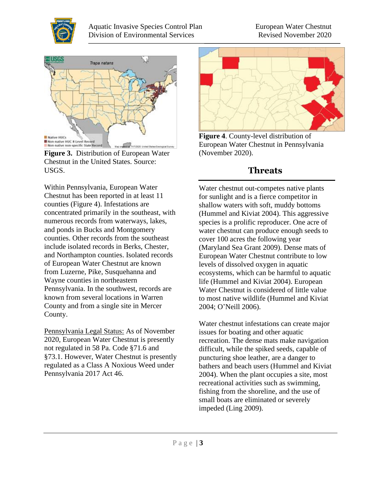





Within Pennsylvania, European Water Chestnut has been reported in at least 11 counties (Figure 4). Infestations are concentrated primarily in the southeast, with numerous records from waterways, lakes, and ponds in Bucks and Montgomery counties. Other records from the southeast include isolated records in Berks, Chester, and Northampton counties. Isolated records of European Water Chestnut are known from Luzerne, Pike, Susquehanna and Wayne counties in northeastern Pennsylvania. In the southwest, records are known from several locations in Warren County and from a single site in Mercer County.

Pennsylvania Legal Status: As of November 2020, European Water Chestnut is presently not regulated in 58 Pa. Code §71.6 and §73.1. However, Water Chestnut is presently regulated as a Class A Noxious Weed under Pennsylvania 2017 Act 46.



**Figure 4**. County-level distribution of European Water Chestnut in Pennsylvania (November 2020).

## **Threats**

Water chestnut out-competes native plants for sunlight and is a fierce competitor in shallow waters with soft, muddy bottoms (Hummel and Kiviat 2004). This aggressive species is a prolific reproducer. One acre of water chestnut can produce enough seeds to cover 100 acres the following year (Maryland Sea Grant 2009). Dense mats of European Water Chestnut contribute to low levels of dissolved oxygen in aquatic ecosystems, which can be harmful to aquatic life (Hummel and Kiviat 2004). European Water Chestnut is considered of little value to most native wildlife (Hummel and Kiviat 2004; O'Neill 2006).

Water chestnut infestations can create major issues for boating and other aquatic recreation. The dense mats make navigation difficult, while the spiked seeds, capable of puncturing shoe leather, are a danger to bathers and beach users (Hummel and Kiviat 2004). When the plant occupies a site, most recreational activities such as swimming, fishing from the shoreline, and the use of small boats are eliminated or severely impeded (Ling 2009).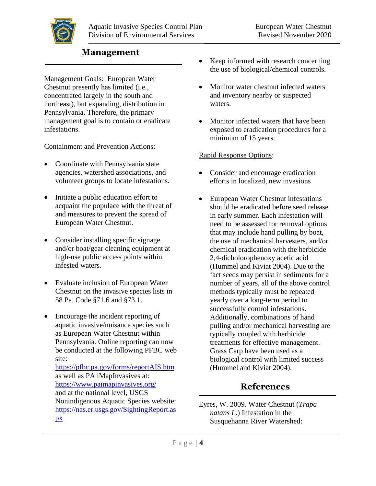

### **Management**

Management Goals: European Water Chestnut presently has limited (i.e., concentrated largely in the south and northeast), but expanding, distribution in Pennsylvania. Therefore, the primary management goal is to contain or eradicate infestations.

#### Containment and Prevention Actions:

- Coordinate with Pennsylvania state agencies, watershed associations, and volunteer groups to locate infestations.
- Initiate a public education effort to acquaint the populace with the threat of and measures to prevent the spread of European Water Chestnut.
- Consider installing specific signage and/or boat/gear cleaning equipment at high-use public access points within infested waters.
- Evaluate inclusion of European Water Chestnut on the invasive species lists in 58 Pa. Code §71.6 and §73.1.
- Encourage the incident reporting of aquatic invasive/nuisance species such as European Water Chestnut within Pennsylvania. Online reporting can now be conducted at the following PFBC web site:

<https://pfbc.pa.gov/forms/reportAIS.htm> as well as PA iMapInvasives at: <https://www.paimapinvasives.org/> and at the national level, USGS Nonindigenous Aquatic Species website: [https://nas.er.usgs.gov/SightingReport.as](https://nas.er.usgs.gov/SightingReport.aspx) [px](https://nas.er.usgs.gov/SightingReport.aspx)

- Keep informed with research concerning the use of biological/chemical controls.
- Monitor water chestnut infected waters and inventory nearby or suspected waters.
- Monitor infected waters that have been exposed to eradication procedures for a minimum of 15 years.

#### Rapid Response Options:

- Consider and encourage eradication efforts in localized, new invasions
- European Water Chestnut infestations should be eradicated before seed release in early summer. Each infestation will need to be assessed for removal options that may include hand pulling by boat, the use of mechanical harvesters, and/or chemical eradication with the herbicide 2,4-dicholorophenoxy acetic acid (Hummel and Kiviat 2004). Due to the fact seeds may persist in sediments for a number of years, all of the above control methods typically must be repeated yearly over a long-term period to successfully control infestations. Additionally, combinations of hand pulling and/or mechanical harvesting are typically coupled with herbicide treatments for effective management. Grass Carp have been used as a biological control with limited success (Hummel and Kiviat 2004).

### **References**

Eyres, W. 2009. Water Chestnut (*Trapa natans L*.) Infestation in the Susquehanna River Watershed: